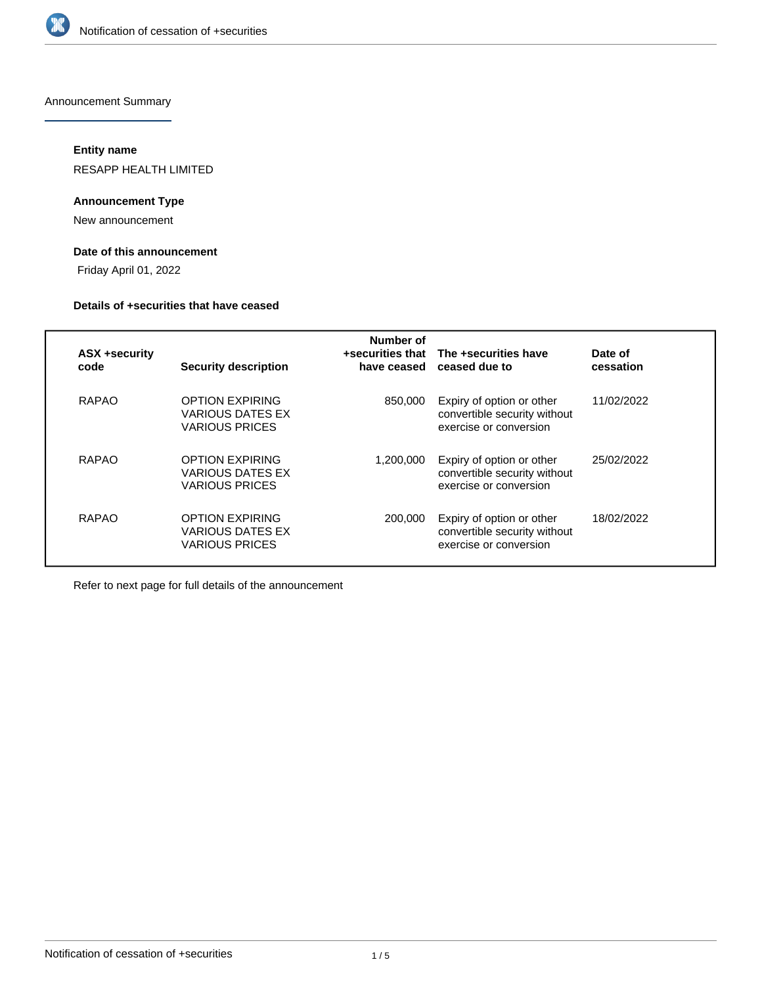

Announcement Summary

#### **Entity name**

RESAPP HEALTH LIMITED

#### **Announcement Type**

New announcement

### **Date of this announcement**

Friday April 01, 2022

#### **Details of +securities that have ceased**

| <b>ASX +security</b><br>code | <b>Security description</b>                                                | Number of<br>+securities that<br>have ceased | The +securities have<br>ceased due to                                               | Date of<br>cessation |
|------------------------------|----------------------------------------------------------------------------|----------------------------------------------|-------------------------------------------------------------------------------------|----------------------|
| RAPAO                        | <b>OPTION EXPIRING</b><br><b>VARIOUS DATES EX</b><br><b>VARIOUS PRICES</b> | 850.000                                      | Expiry of option or other<br>convertible security without<br>exercise or conversion | 11/02/2022           |
| RAPAO                        | <b>OPTION EXPIRING</b><br>VARIOUS DATES EX<br><b>VARIOUS PRICES</b>        | 1.200.000                                    | Expiry of option or other<br>convertible security without<br>exercise or conversion | 25/02/2022           |
| RAPAO                        | <b>OPTION EXPIRING</b><br>VARIOUS DATES EX<br><b>VARIOUS PRICES</b>        | 200,000                                      | Expiry of option or other<br>convertible security without<br>exercise or conversion | 18/02/2022           |

Refer to next page for full details of the announcement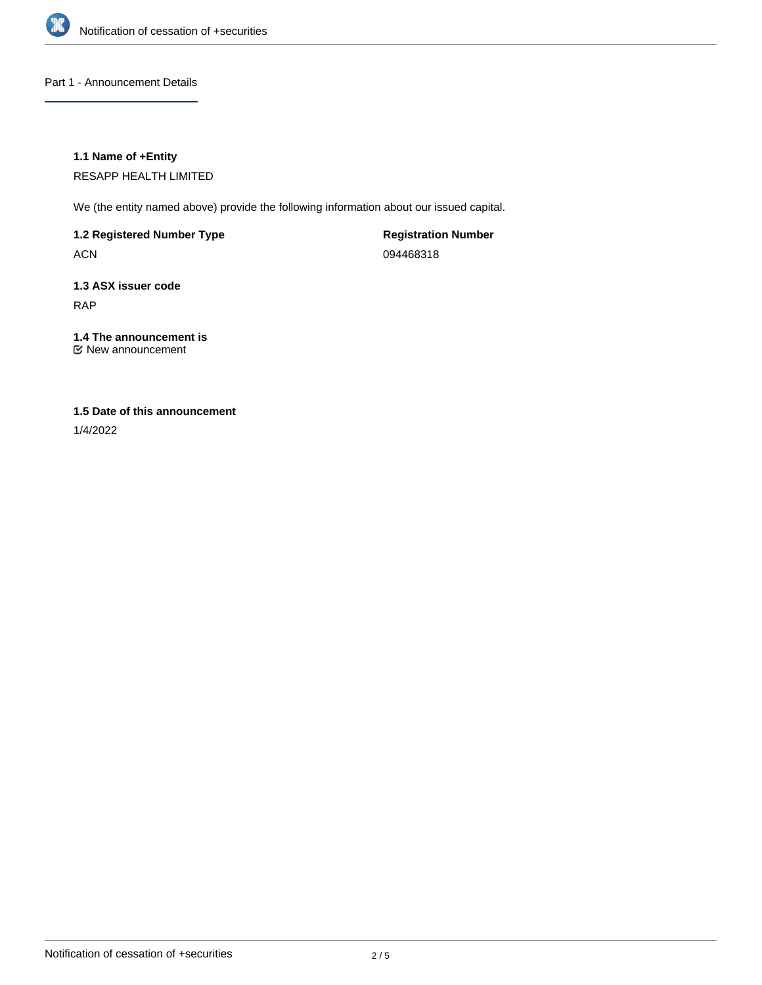

Part 1 - Announcement Details

#### **1.1 Name of +Entity**

RESAPP HEALTH LIMITED

We (the entity named above) provide the following information about our issued capital.

**1.2 Registered Number Type**

ACN

**Registration Number** 094468318

# **1.3 ASX issuer code** RAP

# **1.4 The announcement is**

New announcement

#### **1.5 Date of this announcement**

1/4/2022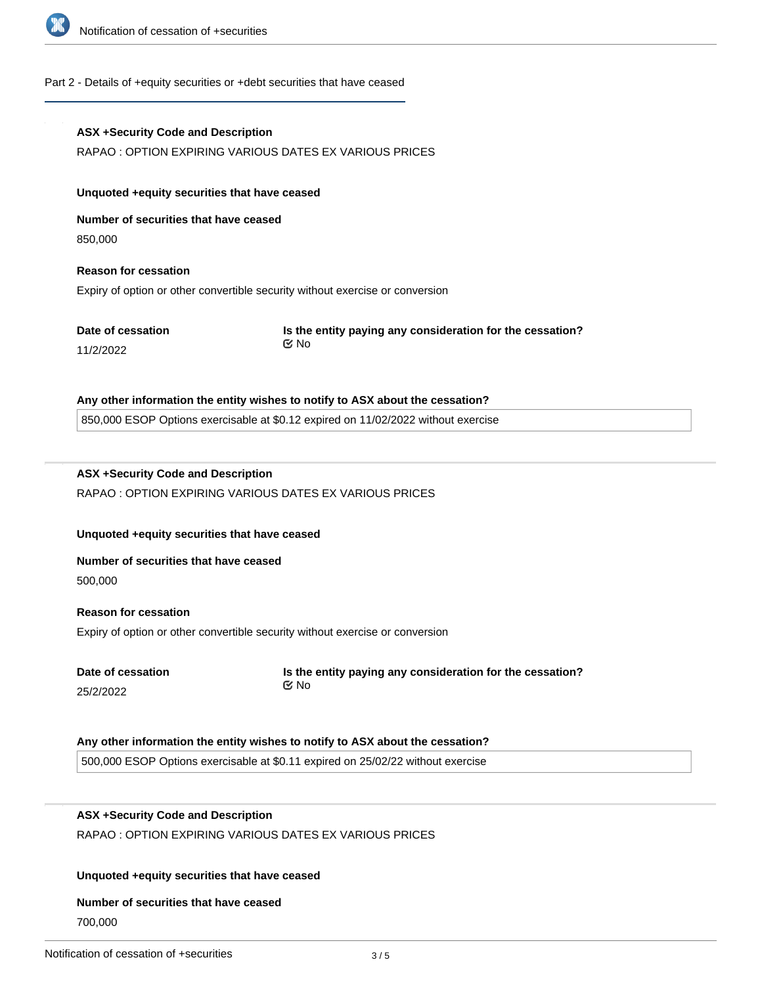

#### Part 2 - Details of +equity securities or +debt securities that have ceased

# **ASX +Security Code and Description** RAPAO : OPTION EXPIRING VARIOUS DATES EX VARIOUS PRICES **Unquoted +equity securities that have ceased Number of securities that have ceased** 850,000 **Reason for cessation** Expiry of option or other convertible security without exercise or conversion **Date of cessation** 11/2/2022 **Is the entity paying any consideration for the cessation? Any other information the entity wishes to notify to ASX about the cessation?** 850,000 ESOP Options exercisable at \$0.12 expired on 11/02/2022 without exercise **ASX +Security Code and Description** No

# RAPAO : OPTION EXPIRING VARIOUS DATES EX VARIOUS PRICES

#### **Unquoted +equity securities that have ceased**

# **Number of securities that have ceased**

500,000

# **Reason for cessation** Expiry of option or other convertible security without exercise or conversion

**Date of cessation** 25/2/2022

#### **Is the entity paying any consideration for the cessation?** No

#### **Any other information the entity wishes to notify to ASX about the cessation?**

500,000 ESOP Options exercisable at \$0.11 expired on 25/02/22 without exercise

## **ASX +Security Code and Description**

RAPAO : OPTION EXPIRING VARIOUS DATES EX VARIOUS PRICES

#### **Unquoted +equity securities that have ceased**

#### **Number of securities that have ceased**

700,000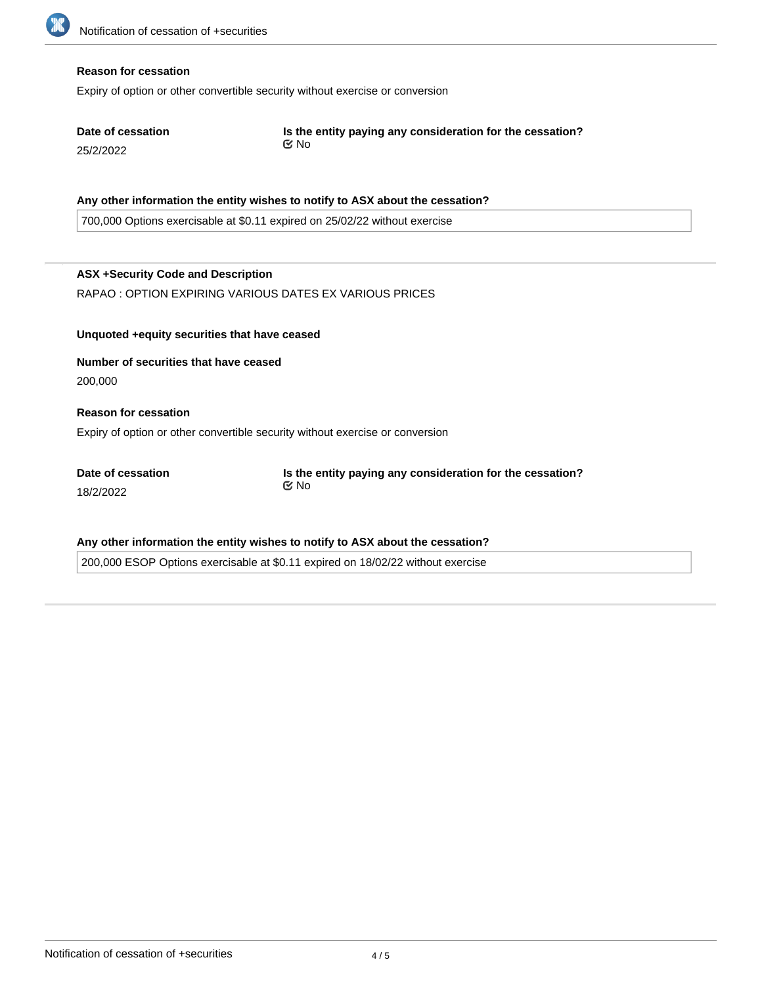#### **Reason for cessation**

Expiry of option or other convertible security without exercise or conversion

| Date of cessation | Is the entity paying any consideration for the cessation? |
|-------------------|-----------------------------------------------------------|
| 25/2/2022         | i⊠ No                                                     |

#### **Any other information the entity wishes to notify to ASX about the cessation?**

700,000 Options exercisable at \$0.11 expired on 25/02/22 without exercise

### **ASX +Security Code and Description**

RAPAO : OPTION EXPIRING VARIOUS DATES EX VARIOUS PRICES

**Unquoted +equity securities that have ceased**

**Number of securities that have ceased** 200,000

#### **Reason for cessation**

Expiry of option or other convertible security without exercise or conversion

**Date of cessation** 18/2/2022

**Is the entity paying any consideration for the cessation?** No

#### **Any other information the entity wishes to notify to ASX about the cessation?**

200,000 ESOP Options exercisable at \$0.11 expired on 18/02/22 without exercise